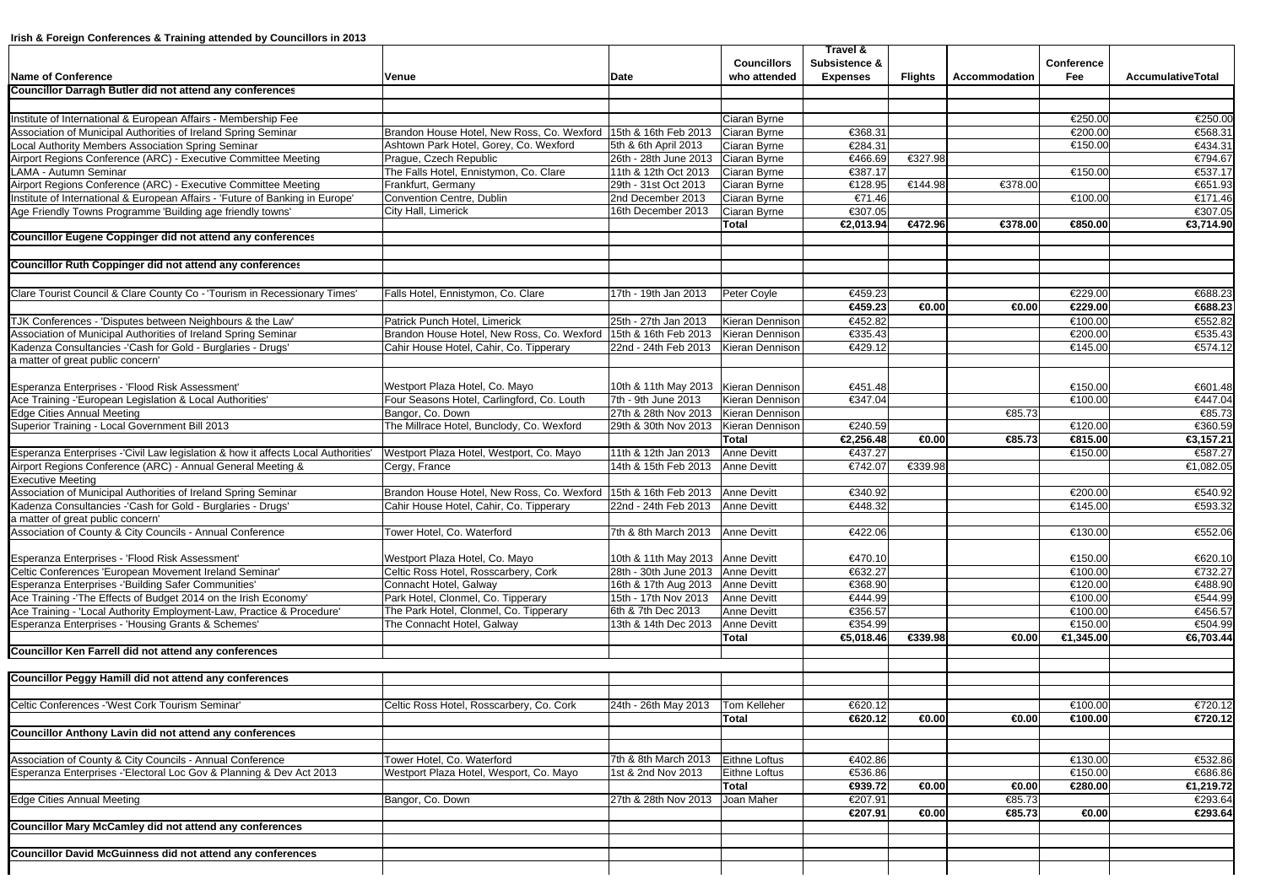|                                                                                              |                                                                   |                                   |                       | Travel &           |                 |                 |                    |                    |
|----------------------------------------------------------------------------------------------|-------------------------------------------------------------------|-----------------------------------|-----------------------|--------------------|-----------------|-----------------|--------------------|--------------------|
|                                                                                              |                                                                   |                                   | <b>Councillors</b>    | Subsistence &      |                 |                 | Conference         |                    |
| <b>Name of Conference</b><br><b>Councillor Darragh Butler did not attend any conferences</b> | Venue                                                             | Date                              | who attended          | <b>Expenses</b>    | Flights         | Accommodation   | Fee                | AccumulativeTotal  |
|                                                                                              |                                                                   |                                   |                       |                    |                 |                 |                    |                    |
| Institute of International & European Affairs - Membership Fee                               |                                                                   |                                   | Ciaran Byrne          |                    |                 |                 | €250.00            | €250.00            |
| Association of Municipal Authorities of Ireland Spring Seminar                               | Brandon House Hotel, New Ross, Co. Wexford   15th & 16th Feb 2013 |                                   | Ciaran Byrne          | €368.31            |                 |                 | €200.00            | €568.31            |
| Local Authority Members Association Spring Seminar                                           | Ashtown Park Hotel, Gorey, Co. Wexford                            | 5th & 6th April 2013              | Ciaran Byrne          | €284.31            |                 |                 | €150.00            | €434.31            |
| Airport Regions Conference (ARC) - Executive Committee Meeting                               | Prague, Czech Republic                                            | 26th - 28th June 2013             | Ciaran Byrne          | €466.69            | €327.98         |                 |                    | €794.67            |
| LAMA - Autumn Seminar                                                                        | The Falls Hotel, Ennistymon, Co. Clare                            | 11th & 12th Oct 2013              | Ciaran Byrne          | €387.17            |                 |                 | €150.00            | €537.17            |
| Airport Regions Conference (ARC) - Executive Committee Meeting                               | Frankfurt, Germany                                                | 29th - 31st Oct 2013              | Ciaran Byrne          | €128.95            | €144.98         | €378.00         |                    | €651.93            |
| Institute of International & European Affairs - 'Future of Banking in Europe'                | Convention Centre, Dublin                                         | 2nd December 2013                 | Ciaran Byrne          | €71.46             |                 |                 | €100.00            | €171.46            |
| Age Friendly Towns Programme 'Building age friendly towns'                                   | City Hall, Limerick                                               | 16th December 2013                | Ciaran Byrne          | €307.05            |                 |                 |                    | €307.05            |
|                                                                                              |                                                                   |                                   | Total                 | €2.013.94          | €472.96         | €378.00         | €850.00            | €3,714.90          |
| <b>Councillor Eugene Coppinger did not attend any conferences</b>                            |                                                                   |                                   |                       |                    |                 |                 |                    |                    |
|                                                                                              |                                                                   |                                   |                       |                    |                 |                 |                    |                    |
| Councillor Ruth Coppinger did not attend any conferences                                     |                                                                   |                                   |                       |                    |                 |                 |                    |                    |
|                                                                                              |                                                                   |                                   |                       |                    |                 |                 |                    |                    |
| Clare Tourist Council & Clare County Co - 'Tourism in Recessionary Times'                    | Falls Hotel, Ennistymon, Co. Clare                                | 17th - 19th Jan 2013              | Peter Coyle           | €459.23            |                 |                 | €229.00            | €688.23            |
|                                                                                              |                                                                   |                                   |                       | €459.23            | $\bigoplus.00$  | $-0.00$         | €229.00            | €688.23            |
| TJK Conferences - 'Disputes between Neighbours & the Law'                                    | Patrick Punch Hotel, Limerick                                     | 25th - 27th Jan 2013              | Kieran Dennison       | €452.82            |                 |                 | €100.00            | €552.82            |
| Association of Municipal Authorities of Ireland Spring Seminar                               | Brandon House Hotel, New Ross, Co. Wexford 15th & 16th Feb 2013   |                                   | Kieran Dennison       | €335.43            |                 |                 | €200.00            | €535.43            |
| Kadenza Consultancies - 'Cash for Gold - Burglaries - Drugs'                                 | Cahir House Hotel, Cahir, Co. Tipperary                           | 22nd - 24th Feb 2013              | Kieran Dennison       | €429.12            |                 |                 | €145.00            | €574.12            |
| a matter of great public concern'                                                            |                                                                   |                                   |                       |                    |                 |                 |                    |                    |
|                                                                                              |                                                                   |                                   |                       |                    |                 |                 |                    |                    |
| Esperanza Enterprises - 'Flood Risk Assessment'                                              | Westport Plaza Hotel, Co. Mayo                                    | 10th & 11th May 2013              | Kieran Dennison       | €451.48            |                 |                 | €150.00            | €601.48            |
| Ace Training -'European Legislation & Local Authorities'                                     | Four Seasons Hotel, Carlingford, Co. Louth                        | 7th - 9th June 2013               | Kieran Dennison       | €347.04            |                 |                 | €100.00            | €447.04            |
| <b>Edge Cities Annual Meeting</b>                                                            | Bangor, Co. Down                                                  | 27th & 28th Nov 2013              | Kieran Dennison       |                    |                 | €85.73          |                    | €85.73             |
| Superior Training - Local Government Bill 2013                                               | The Millrace Hotel, Bunclody, Co. Wexford                         | 29th & 30th Nov 2013              | Kieran Dennison       | €240.59            |                 |                 | €120.00            | €360.59            |
|                                                                                              |                                                                   |                                   | Total                 | €2,256.48          | $\bigoplus.00$  | €85.73          | €815.00            | €3,157.21          |
| Esperanza Enterprises -'Civil Law legislation & how it affects Local Authorities'            | Westport Plaza Hotel, Westport, Co. Mayo                          | 11th & 12th Jan 2013              | <b>Anne Devitt</b>    | €437.27            |                 |                 | €150.00            | €587.27            |
| Airport Regions Conference (ARC) - Annual General Meeting &<br>Executive Meeting             | Cergy, France                                                     | 14th & 15th Feb 2013              | <b>Anne Devitt</b>    | €742.07            | €339.98         |                 |                    | €1,082.05          |
| Association of Municipal Authorities of Ireland Spring Seminar                               | Brandon House Hotel, New Ross, Co. Wexford 15th & 16th Feb 2013   |                                   | <b>Anne Devitt</b>    | €340.92            |                 |                 | €200.00            | €540.92            |
| Kadenza Consultancies -'Cash for Gold - Burglaries - Drugs'                                  | Cahir House Hotel, Cahir, Co. Tipperary                           | 22nd - 24th Feb 2013              | <b>Anne Devitt</b>    | €448.32            |                 |                 | €145.00            | €593.32            |
| a matter of great public concern'                                                            |                                                                   |                                   |                       |                    |                 |                 |                    |                    |
| Association of County & City Councils - Annual Conference                                    | Tower Hotel, Co. Waterford                                        | 7th & 8th March 2013              | <b>Anne Devitt</b>    | €422.06            |                 |                 | €130.00            | €552.06            |
|                                                                                              |                                                                   |                                   |                       |                    |                 |                 |                    |                    |
| Esperanza Enterprises - 'Flood Risk Assessment'                                              | Westport Plaza Hotel, Co. Mayo                                    | 10th & 11th May 2013 Anne Devitt  |                       | €470.10            |                 |                 | €150.00            | €620.10            |
| Celtic Conferences 'European Movement Ireland Seminar'                                       | Celtic Ross Hotel, Rosscarbery, Cork                              | 28th - 30th June 2013 Anne Devitt |                       | €632.27            |                 |                 | €100.00            | €732.27            |
| Esperanza Enterprises -'Building Safer Communities'                                          | Connacht Hotel, Galway                                            | 16th & 17th Aug 2013              | <b>Anne Devitt</b>    | €368.90            |                 |                 | €120.00            | €488.90            |
| Ace Training - The Effects of Budget 2014 on the Irish Economy'                              | Park Hotel, Clonmel, Co. Tipperary                                | 15th - 17th Nov 2013              | <b>Anne Devitt</b>    | €444.99            |                 |                 | €100.00            | €544.99            |
| Ace Training - 'Local Authority Employment-Law, Practice & Procedure'                        | The Park Hotel, Clonmel, Co. Tipperary                            | 6th & 7th Dec 2013                | <b>Anne Devitt</b>    | €356.57            |                 |                 | €100.00            | €456.57            |
| Esperanza Enterprises - 'Housing Grants & Schemes'                                           | The Connacht Hotel, Galway                                        | 13th & 14th Dec 2013              | <b>Anne Devitt</b>    | €354.99            |                 |                 | €150.00            | €504.99            |
|                                                                                              |                                                                   |                                   | Total                 | €5,018.46          | €339.98         | $\bigoplus$ .00 | €1,345.00          | €6,703.44          |
| Councillor Ken Farrell did not attend any conferences                                        |                                                                   |                                   |                       |                    |                 |                 |                    |                    |
|                                                                                              |                                                                   |                                   |                       |                    |                 |                 |                    |                    |
| Councillor Peggy Hamill did not attend any conferences                                       |                                                                   |                                   |                       |                    |                 |                 |                    |                    |
|                                                                                              |                                                                   |                                   |                       |                    |                 |                 |                    |                    |
| Celtic Conferences - West Cork Tourism Seminar                                               | Celtic Ross Hotel, Rosscarbery, Co. Cork                          | 24th - 26th May 2013              | Tom Kelleher<br>Total | €620.12<br>€620.12 | $\bigoplus.00$  | $\bigoplus.00$  | €100.00<br>€100.00 | €720.12<br>€720.12 |
| Councillor Anthony Lavin did not attend any conferences                                      |                                                                   |                                   |                       |                    |                 |                 |                    |                    |
|                                                                                              |                                                                   |                                   |                       |                    |                 |                 |                    |                    |
| Association of County & City Councils - Annual Conference                                    | Tower Hotel, Co. Waterford                                        | 7th & 8th March 2013              | <b>Eithne Loftus</b>  | €402.86            |                 |                 | €130.00            | €532.86            |
| Esperanza Enterprises -'Electoral Loc Gov & Planning & Dev Act 2013                          | Westport Plaza Hotel, Wesport, Co. Mayo                           | 1st & 2nd Nov 2013                | Eithne Loftus         | €536.86            |                 |                 | €150.00            | €686.86            |
|                                                                                              |                                                                   |                                   | Total                 | €939.72            | $\bigoplus .00$ | $\bigoplus .00$ | €280.00            | €1,219.72          |
| <b>Edge Cities Annual Meeting</b>                                                            | Bangor, Co. Down                                                  | 27th & 28th Nov 2013              | Joan Maher            | €207.91            |                 | €85.73          |                    | €293.64            |
|                                                                                              |                                                                   |                                   |                       | €207.91            | $\bigoplus .00$ | €65.73          | $\bigoplus .00$    | €293.64            |
| Councillor Mary McCamley did not attend any conferences                                      |                                                                   |                                   |                       |                    |                 |                 |                    |                    |
|                                                                                              |                                                                   |                                   |                       |                    |                 |                 |                    |                    |
| <b>Councillor David McGuinness did not attend any conferences</b>                            |                                                                   |                                   |                       |                    |                 |                 |                    |                    |
|                                                                                              |                                                                   |                                   |                       |                    |                 |                 |                    |                    |
|                                                                                              |                                                                   |                                   |                       |                    |                 |                 |                    |                    |